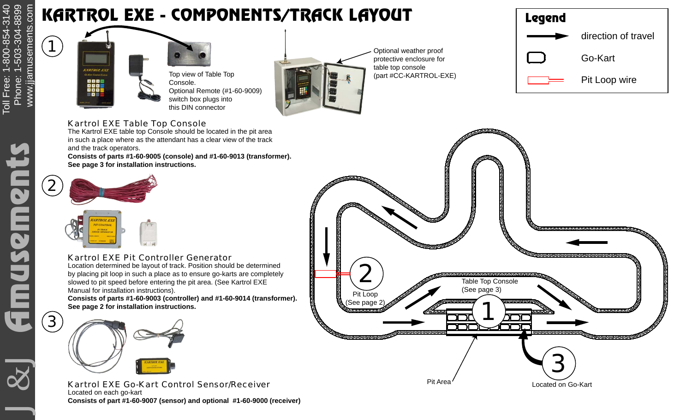## KARTROL EXE - COMPONENTS/TRACK LAYOUT

1





Optional weather proof protective enclosure for table top console (part #CC-KARTROL-EXE)

| <b>Legend</b> |                     |
|---------------|---------------------|
|               | direction of travel |
|               | Go-Kart             |
|               | Pit Loop wire       |

#### Kartrol EXE Table Top Console

The Kartrol EXE table top Console should be located in the pit area in such a place where as the attendant has a clear view of the track and the track operators.

**Consists of parts #1-60-9005 (console) and #1-60-9013 (transformer). See page 3 for installation instructions.**



### Kartrol EXE Pit Controller Generator

 Location determined be layout of track. Position should be determined by placing pit loop in such a place as to ensure go-karts are completely slowed to pit speed before entering the pit area. (See Kartrol EXE Manual for installation instructions).

**Consists of parts #1-60-9003 (controller) and #1-60-9014 (transformer). See page 2 for installation instructions.**



Kartrol EXE Go-Kart Control Sensor/Receiver Located on each go-kart **Consists of part #1-60-9007 (sensor) and optional #1-60-9000 (receiver)**



J&J GmMSCmPCS Phone: 1-800-854-3140 ide<br>D musem G

3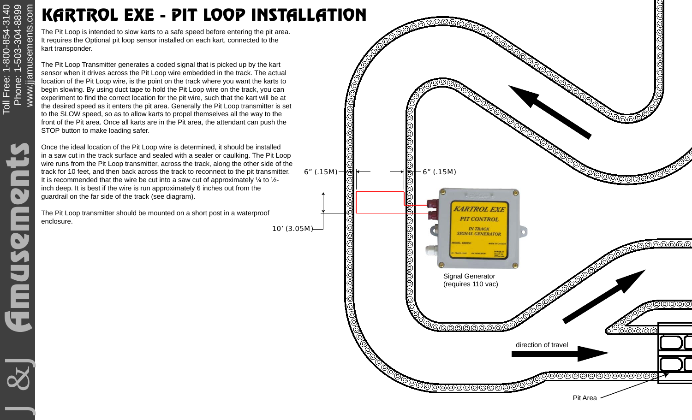# www.jjamusements.com www.jjamusements.com KARTROL EXE - PIT LOOP INSTALLATION

The Pit Loop is intended to slow karts to a safe speed before entering the pit area. It requires the Optional pit loop sensor installed on each kart, connected to the kart transponder.

The Pit Loop Transmitter generates a coded signal that is picked up by the kart sensor when it drives across the Pit Loop wire embedded in the track. The actual location of the Pit Loop wire, is the point on the track where you want the karts to begin slowing. By using duct tape to hold the Pit Loop wire on the track, you can experiment to find the correct location for the pit wire, such that the kart will be at the desired speed as it enters the pit area. Generally the Pit Loop transmitter is set to the SLOW speed, so as to allow karts to propel themselves all the way to the front of the Pit area. Once all karts are in the Pit area, the attendant can push the STOP button to make loading safer.

Once the ideal location of the Pit Loop wire is determined, it should be installed in a saw cut in the track surface and sealed with a sealer or caulking. The Pit Loop wire runs from the Pit Loop transmitter, across the track, along the other side of the track for 10 feet, and then back across the track to reconnect to the pit transmitter. It is recommended that the wire be cut into a saw cut of approximately  $\frac{1}{4}$  to  $\frac{1}{2}$ inch deep. It is best if the wire is run approximately 6 inches out from the guardrail on the far side of the track (see diagram).

The Pit Loop transmitter should be mounted on a short post in a waterproof enclosure.

10' (3.05M)



J&J GmMSCmPCS Phone: 1-800-854-3140 Ë

 $\overline{\mathbf{C}}$ 

Phone: 1-503-304-8899

Toll Free: 1-800-854-3140<br>Phone: 1-503-304-8899